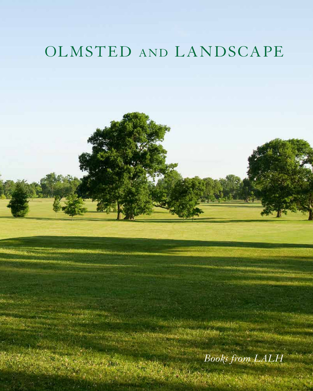# OLMSTED AND LANDSCAPE

*Books from LALH*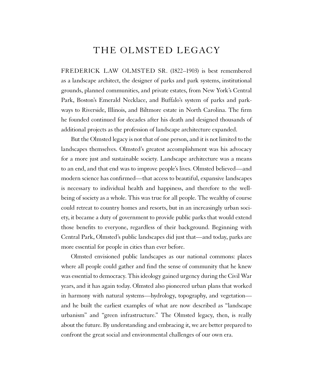### THE OLMSTED LEGACY

FREDERICK LAW OLMSTED SR. (1822–1903) is best remembered as a landscape architect, the designer of parks and park systems, institutional grounds, planned communities, and private estates, from New York's Central Park, Boston's Emerald Necklace, and Buffalo's system of parks and parkways to Riverside, Illinois, and Biltmore estate in North Carolina. The firm he founded continued for decades after his death and designed thousands of additional projects as the profession of landscape architecture expanded.

But the Olmsted legacy is not that of one person, and it is not limited to the landscapes themselves. Olmsted's greatest accomplishment was his advocacy for a more just and sustainable society. Landscape architecture was a means to an end, and that end was to improve people's lives. Olmsted believed—and modern science has confirmed—that access to beautiful, expansive landscapes is necessary to individual health and happiness, and therefore to the wellbeing of society as a whole. This was true for all people. The wealthy of course could retreat to country homes and resorts, but in an increasingly urban society, it became a duty of government to provide public parks that would extend those benefits to everyone, regardless of their background. Beginning with Central Park, Olmsted's public landscapes did just that—and today, parks are more essential for people in cities than ever before.

Olmsted envisioned public landscapes as our national commons: places where all people could gather and find the sense of community that he knew was essential to democracy. This ideology gained urgency during the Civil War years, and it has again today. Olmsted also pioneered urban plans that worked in harmony with natural systems—hydrology, topography, and vegetation and he built the earliest examples of what are now described as "landscape urbanism" and "green infrastructure." The Olmsted legacy, then, is really about the future. By understanding and embracing it, we are better prepared to confront the great social and environmental challenges of our own era.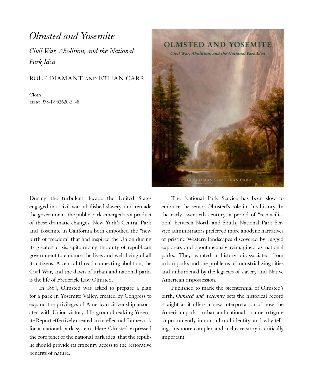## *Olmsted and Yosemite*

*Civil War, Abolition, and the National Park Idea*

#### ROLF DIAMANT AND ETHAN CARR

Cloth isbn: 978-1-952620-34-8



During the turbulent decade the United States engaged in a civil war, abolished slavery, and remade the government, the public park emerged as a product of these dramatic changes. New York's Central Park and Yosemite in California both embodied the "new birth of freedom" that had inspired the Union during its greatest crisis, epitomizing the duty of republican government to enhance the lives and well-being of all its citizens. A central thread connecting abolition, the Civil War, and the dawn of urban and national parks is the life of Frederick Law Olmsted.

In 1864, Olmsted was asked to prepare a plan for a park in Yosemite Valley, created by Congress to expand the privileges of American citizenship associated with Union victory. His groundbreaking Yosemite Report effectively created an intellectual framework for a national park system. Here Olmsted expressed the core tenet of the national park idea: that the republic should provide its citizenry access to the restorative benefits of nature.

The National Park Service has been slow to embrace the senior Olmsted's role in this history. In the early twentieth century, a period of "reconciliation" between North and South, National Park Service administrators preferred more anodyne narratives of pristine Western landscapes discovered by rugged explorers and spontaneously reimagined as national parks. They wanted a history disassociated from urban parks and the problems of industrializing cities and unburdened by the legacies of slavery and Native American dispossession.

Published to mark the bicentennial of Olmsted's birth, *Olmsted and Yosemite* sets the historical record straight as it offers a new interpretation of how the American park—urban and national—came to figure so prominently in our cultural identity, and why telling this more complex and inclusive story is critically important.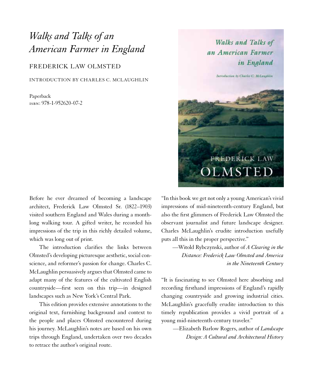## *Walks and Talks of an American Farmer in England*

FREDERICK LAW OLMSTED

INTRODUCTION BY CHARLES C. MCLAUGHLIN

Paperback isbn: 978-1-952620-07-2

Before he ever dreamed of becoming a landscape architect, Frederick Law Olmsted Sr. (1822–1903) visited southern England and Wales during a monthlong walking tour. A gifted writer, he recorded his impressions of the trip in this richly detailed volume, which was long out of print.

The introduction clarifies the links between Olmsted's developing picturesque aesthetic, social conscience, and reformer's passion for change. Charles C. McLaughlin persuasively argues that Olmsted came to adapt many of the features of the cultivated English countryside—first seen on this trip—in designed landscapes such as New York's Central Park.

This edition provides extensive annotations to the original text, furnishing background and context to the people and places Olmsted encountered during his journey. McLaughlin's notes are based on his own trips through England, undertaken over two decades to retrace the author's original route.



"In this book we get not only a young American's vivid impressions of mid-nineteenth-century England, but also the first glimmers of Frederick Law Olmsted the observant journalist and future landscape designer. Charles McLaughlin's erudite introduction usefully puts all this in the proper perspective."

—Witold Rybczynski, author of *A Clearing in the Distance: Frederick Law Olmsted and America in the Nineteenth Century*

"It is fascinating to see Olmsted here absorbing and recording firsthand impressions of England's rapidly changing countryside and growing industrial cities. McLaughlin's gracefully erudite introduction to this timely republication provides a vivid portrait of a young mid-nineteenth-century traveler."

—Elizabeth Barlow Rogers, author of *Landscape Design: A Cultural and Architectural History*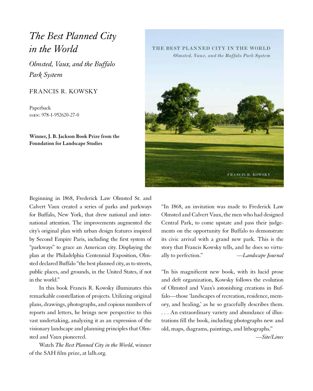## *The Best Planned City in the World*

*Olmsted, Vaux, and the Buffalo Park System*

#### FRANCIS R. KOWSKY

Paperback isbn: 978-1-952620-27-0

**Winner, J. B. Jackson Book Prize from the Foundation for Landscape Studies**

Beginning in 1868, Frederick Law Olmsted Sr. and Calvert Vaux created a series of parks and parkways for Buffalo, New York, that drew national and international attention. The improvements augmented the city's original plan with urban design features inspired by Second Empire Paris, including the first system of "parkways" to grace an American city. Displaying the plan at the Philadelphia Centennial Exposition, Olmsted declared Buffalo "the best planned city, as to streets, public places, and grounds, in the United States, if not in the world."

In this book Francis R. Kowsky illuminates this remarkable constellation of projects. Utilizing original plans, drawings, photographs, and copious numbers of reports and letters, he brings new perspective to this vast undertaking, analyzing it as an expression of the visionary landscape and planning principles that Olmsted and Vaux pioneered.

Watch *The Best Planned City in the World*, winner of the SAH film prize, at lalh.org.

THE BEST PLANNED CITY IN THE WORLD Olmsted, Vaux, and the Buffalo Park System



"In 1868, an invitation was made to Frederick Law Olmsted and Calvert Vaux, the men who had designed Central Park, to come upstate and pass their judgements on the opportunity for Buffalo to demonstrate its civic arrival with a grand new park. This is the story that Francis Kowsky tells, and he does so virtually to perfection." —*Landscape Journal*

"In his magnificent new book, with its lucid prose and deft organization, Kowsky follows the evolution of Olmsted and Vaux's astonishing creations in Buffalo—those 'landscapes of recreation, residence, memory, and healing,' as he so gracefully describes them. . . . An extraordinary variety and abundance of illustrations fill the book, including photographs new and old, maps, diagrams, paintings, and lithographs."

—*Site/Lines*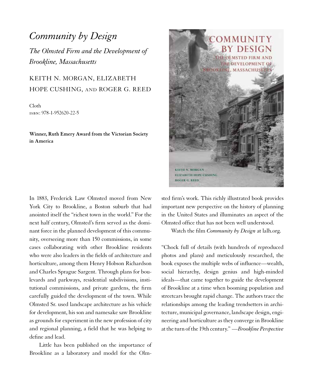## *Community by Design The Olmsted Firm and the Development of Brookline, Massachusetts*

### KEITH N. MORGAN, ELIZABETH HOPE CUSHING, AND ROGER G. REED

Cloth isbn: 978-1-952620-22-5

**Winner, Ruth Emery Award from the Victorian Society in America**

In 1883, Frederick Law Olmsted moved from New York City to Brookline, a Boston suburb that had anointed itself the "richest town in the world." For the next half century, Olmsted's firm served as the dominant force in the planned development of this community, overseeing more than 150 commissions, in some cases collaborating with other Brookline residents who were also leaders in the fields of architecture and horticulture, among them Henry Hobson Richardson and Charles Sprague Sargent. Through plans for boulevards and parkways, residential subdivisions, institutional commissions, and private gardens, the firm carefully guided the development of the town. While Olmsted Sr. used landscape architecture as his vehicle for development, his son and namesake saw Brookline as grounds for experiment in the new profession of city and regional planning, a field that he was helping to define and lead.

Little has been published on the importance of Brookline as a laboratory and model for the Olm-



sted firm's work. This richly illustrated book provides important new perspective on the history of planning in the United States and illuminates an aspect of the Olmsted office that has not been well understood.

Watch the film *Community by Design* at lalh.org.

"Chock full of details (with hundreds of reproduced photos and plans) and meticulously researched, the book exposes the multiple webs of influence—wealth, social hierarchy, design genius and high-minded ideals—that came together to guide the development of Brookline at a time when booming population and streetcars brought rapid change. The authors trace the relationships among the leading trendsetters in architecture, municipal governance, landscape design, engineering and horticulture as they converge in Brookline at the turn of the 19th century." —*Brookline Perspective*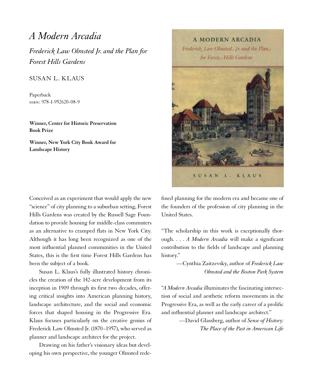## *A Modern Arcadia*

*Frederick Law Olmsted Jr. and the Plan for Forest Hills Gardens*

#### SUSAN L. KLAUS

Paperback isbn: 978-1-952620-08-9

**Winner, Center for Historic Preservation Book Prize**

**Winner, New York City Book Award for Landscape History**

Conceived as an experiment that would apply the new "science" of city planning to a suburban setting, Forest Hills Gardens was created by the Russell Sage Foundation to provide housing for middle-class commuters as an alternative to cramped flats in New York City. Although it has long been recognized as one of the most influential planned communities in the United States, this is the first time Forest Hills Gardens has been the subject of a book.

Susan L. Klaus's fully illustrated history chronicles the creation of the 142-acre development from its inception in 1909 through its first two decades, offering critical insights into American planning history, landscape architecture, and the social and economic forces that shaped housing in the Progressive Era. Klaus focuses particularly on the creative genius of Frederick Law Olmsted Jr. (1870–1957), who served as planner and landscape architect for the project.

Drawing on his father's visionary ideas but developing his own perspective, the younger Olmsted rede-

**A MODERN ARCADIA** Frederick Law Olmsted. Jr. and the Plan. for Forest Hills Gardens



fined planning for the modern era and became one of the founders of the profession of city planning in the United States.

"The scholarship in this work is exceptionally thorough. . . . *A Modern Arcadia* will make a significant contribution to the fields of landscape and planning history."

> —Cynthia Zaitzevsky, author of *Frederick Law Olmsted and the Boston Park System*

"*A Modern Arcadia* illuminates the fascinating intersection of social and aesthetic reform movements in the Progressive Era, as well as the early career of a prolific and influential planner and landscape architect."

> —David Glassberg, author of *Sense of History: The Place of the Past in American Life*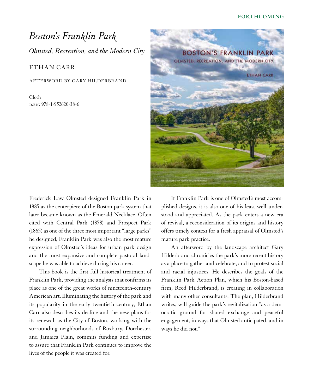#### **FORTHCOMING**

## *Boston's Franklin Park Olmsted, Recreation, and the Modern City*

#### ETHAN CARR

AFTERWORD BY GARY HILDERBRAND

Cloth isbn: 978-1-952620-38-6



Frederick Law Olmsted designed Franklin Park in 1885 as the centerpiece of the Boston park system that later became known as the Emerald Necklace. Often cited with Central Park (1858) and Prospect Park (1865) as one of the three most important "large parks" he designed, Franklin Park was also the most mature expression of Olmsted's ideas for urban park design and the most expansive and complete pastoral landscape he was able to achieve during his career.

This book is the first full historical treatment of Franklin Park, providing the analysis that confirms its place as one of the great works of nineteenth-century American art. Illuminating the history of the park and its popularity in the early twentieth century, Ethan Carr also describes its decline and the new plans for its renewal, as the City of Boston, working with the surrounding neighborhoods of Roxbury, Dorchester, and Jamaica Plain, commits funding and expertise to assure that Franklin Park continues to improve the lives of the people it was created for.

If Franklin Park is one of Olmsted's most accomplished designs, it is also one of his least well understood and appreciated. As the park enters a new era of revival, a reconsideration of its origins and history offers timely context for a fresh appraisal of Olmsted's mature park practice.

An afterword by the landscape architect Gary Hilderbrand chronicles the park's more recent history as a place to gather and celebrate, and to protest social and racial injustices. He describes the goals of the Franklin Park Action Plan, which his Boston-based firm, Reed Hilderbrand, is creating in collaboration with many other consultants. The plan, Hilderbrand writes, will guide the park's revitalization "as a democratic ground for shared exchange and peaceful engagement, in ways that Olmsted anticipated, and in ways he did not."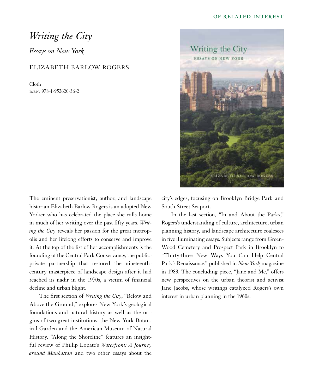#### **OF RELATED INTEREST**

### *Writing the City*

*Essays on New York*

#### ELIZABETH BARLOW ROGERS

Cloth isbn: 978-1-952620-36-2



The eminent preservationist, author, and landscape historian Elizabeth Barlow Rogers is an adopted New Yorker who has celebrated the place she calls home in much of her writing over the past fifty years. *Writing the City* reveals her passion for the great metropolis and her lifelong efforts to conserve and improve it. At the top of the list of her accomplishments is the founding of the Central Park Conservancy, the publicprivate partnership that restored the nineteenthcentury masterpiece of landscape design after it had reached its nadir in the 1970s, a victim of financial decline and urban blight.

The first section of *Writing the City*, "Below and Above the Ground," explores New York's geological foundations and natural history as well as the origins of two great institutions, the New York Botanical Garden and the American Museum of Natural History. "Along the Shoreline" features an insightful review of Phillip Lopate's *Waterfront: A Journey around Manhattan* and two other essays about the

city's edges, focusing on Brooklyn Bridge Park and South Street Seaport.

In the last section, "In and About the Parks," Rogers's understanding of culture, architecture, urban planning history, and landscape architecture coalesces in five illuminating essays. Subjects range from Green-Wood Cemetery and Prospect Park in Brooklyn to "Thirty-three New Ways You Can Help Central Park's Renaissance," published in *New York* magazine in 1983. The concluding piece, "Jane and Me," offers new perspectives on the urban theorist and activist Jane Jacobs, whose writings catalyzed Rogers's own interest in urban planning in the 1960s.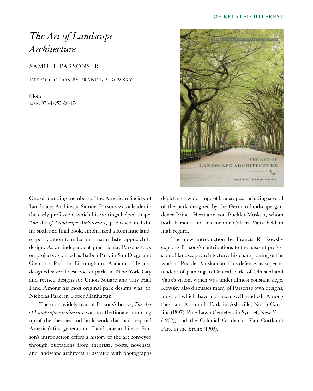#### **OF RELATED INTEREST**

## *The Art of Landscape Architecture*

SAMUEL PARSONS JR.

INTRODUCTION BY FRANCIS R. KOWSKY

Cloth isbn: 978-1-952620-17-1



The most widely read of Parsons's books, *The Art of Landscape Architecture* was an affectionate summing up of the theories and built work that had inspired America's first generation of landscape architects. Parson's introduction offers a history of the art conveyed through quotations from theorists, poets, novelists, and landscape architects, illustrated with photographs



depicting a wide range of landscapes, including several of the park designed by the German landscape gardener Prince Hermann von Pückler-Muskau, whom both Parsons and his mentor Calvert Vaux held in high regard.

The new introduction by Francis R. Kowsky explores Parsons's contributions to the nascent profession of landscape architecture, his championing of the work of Pückler-Muskau, and his defense, as superintendent of planting in Central Park, of Olmsted and Vaux's vision, which was under almost constant siege. Kowsky also discusses many of Parsons's own designs, most of which have not been well studied. Among these are Albemarle Park in Asheville, North Carolina (1897); Pine Lawn Cemetery in Syosset, New York (1902); and the Colonial Garden at Van Cortlandt Park in the Bronx (1903).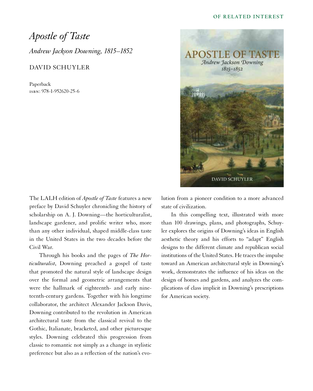#### **OF RELATED INTEREST**

*Apostle of Taste Andrew Jackson Downing, 1815–1852*

#### DAVID SCHUYLER

Paperback isbn: 978-1-952620-25-6

The LALH edition of *Apostle of Taste* features a new preface by David Schuyler chronicling the history of scholarship on A. J. Downing—the horticulturalist, landscape gardener, and prolific writer who, more than any other individual, shaped middle-class taste in the United States in the two decades before the Civil War.

Through his books and the pages of *The Horticulturalist*, Downing preached a gospel of taste that promoted the natural style of landscape design over the formal and geometric arrangements that were the hallmark of eighteenth- and early nineteenth-century gardens. Together with his longtime collaborator, the architect Alexander Jackson Davis, Downing contributed to the revolution in American architectural taste from the classical revival to the Gothic, Italianate, bracketed, and other picturesque styles. Downing celebrated this progression from classic to romantic not simply as a change in stylistic preference but also as a reflection of the nation's evo-



lution from a pioneer condition to a more advanced state of civilization.

In this compelling text, illustrated with more than 100 drawings, plans, and photographs, Schuyler explores the origins of Downing's ideas in English aesthetic theory and his efforts to "adapt" English designs to the different climate and republican social institutions of the United States. He traces the impulse toward an American architectural style in Downing's work, demonstrates the influence of his ideas on the design of homes and gardens, and analyzes the complications of class implicit in Downing's prescriptions for American society.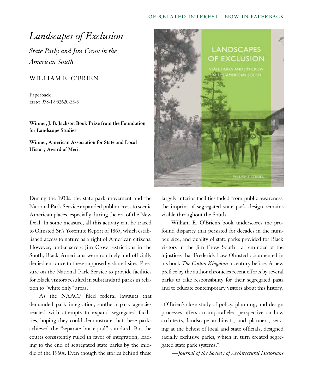#### **OF RELATED INTEREST—NOW IN PAPERBACK**

## *Landscapes of Exclusion*

*State Parks and Jim Crow in the American South*

#### WILLIAM E. O'BRIEN

Paperback isbn: 978-1-952620-35-5

**Winner, J. B. Jackson Book Prize from the Foundation for Landscape Studies**

**Winner, American Association for State and Local History Award of Merit**

During the 1930s, the state park movement and the National Park Service expanded public access to scenic American places, especially during the era of the New Deal. In some measure, all this activity can be traced to Olmsted Sr.'s Yosemite Report of 1865, which established access to nature as a right of American citizens. However, under severe Jim Crow restrictions in the South, Black Americans were routinely and officially denied entrance to these supposedly shared sites. Pressure on the National Park Service to provide facilities for Black visitors resulted in substandard parks in relation to "white only" areas.

As the NAACP filed federal lawsuits that demanded park integration, southern park agencies reacted with attempts to expand segregated facilities, hoping they could demonstrate that these parks achieved the "separate but equal" standard. But the courts consistently ruled in favor of integration, leading to the end of segregated state parks by the middle of the 1960s. Even though the stories behind these



largely inferior facilities faded from public awareness, the imprint of segregated state park design remains visible throughout the South.

William E. O'Brien's book underscores the profound disparity that persisted for decades in the number, size, and quality of state parks provided for Black visitors in the Jim Crow South—a reminder of the injustices that Frederick Law Olmsted documented in his book *The Cotton Kingdom* a century before. A new preface by the author chronicles recent efforts by several parks to take responsibility for their segregated pasts and to educate contemporary visitors about this history.

"O'Brien's close study of policy, planning, and design processes offers an unparalleled perspective on how architects, landscape architects, and planners, serving at the behest of local and state officials, designed racially exclusive parks, which in turn created segregated state park systems."

—*Journal of the Society of Architectural Historians*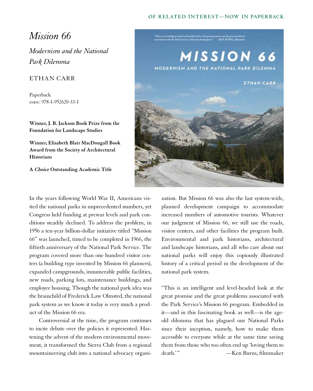#### **OF RELATED INTEREST—NOW IN PAPERBACK**

## *Mission 66*

*Modernism and the National Park Dilemma*

#### ETHAN CARR

Paperback isbn: 978-1-952620-33-1

**Winner, J. B. Jackson Book Prize from the Foundation for Landscape Studies**

**Winner, Elisabeth Blair MacDougall Book Award from the Society of Architectural Historians**

**A Choice Outstanding Academic Title**

In the years following World War II, Americans visited the national parks in unprecedented numbers, yet Congress held funding at prewar levels and park conditions steadily declined. To address the problem, in 1956 a ten-year billion-dollar initiative titled "Mission 66" was launched, timed to be completed in 1966, the fiftieth anniversary of the National Park Service. The program covered more than one hundred visitor centers (a building type invented by Mission 66 planners), expanded campgrounds, innumerable public facilities, new roads, parking lots, maintenance buildings, and employee housing. Though the national park idea was the brainchild of Frederick Law Olmsted, the national park system as we know it today is very much a product of the Mission 66 era.

Controversial at the time, the program continues to incite debate over the policies it represented. Hastening the advent of the modern environmental movement, it transformed the Sierra Club from a regional mountaineering club into a national advocacy organi-



zation. But Mission 66 was also the last system-wide, planned development campaign to accommodate increased numbers of automotive tourists. Whatever our judgment of Mission 66, we still use the roads, visitor centers, and other facilities the program built. Environmental and park historians, architectural and landscape historians, and all who care about our national parks will enjoy this copiously illustrated history of a critical period in the development of the national park system.

"This is an intelligent and level-headed look at the great promise and the great problems associated with the Park Service's Mission 66 program. Embedded in it—and in this fascinating book as well—is the ageold dilemma that has plagued our National Parks since their inception, namely, how to make them accessible to everyone while at the same time saving them from those who too often end up 'loving them to death.'" — Ken Burns, filmmaker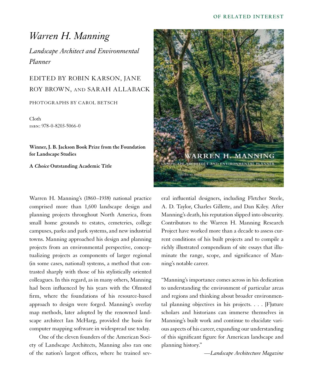## *Warren H. Manning*

*Landscape Architect and Environmental Planner*

## EDITED BY ROBIN KARSON, JANE ROY BROWN, AND SARAH ALLABACK

PHOTOGRAPHS BY CAROL BETSCH

Cloth isbn: 978-0-8203-5066-0

**Winner, J. B. Jackson Book Prize from the Foundation for Landscape Studies**

**A Choice Outstanding Academic Title**

Warren H. Manning's (1860–1938) national practice comprised more than 1,600 landscape design and planning projects throughout North America, from small home grounds to estates, cemeteries, college campuses, parks and park systems, and new industrial towns. Manning approached his design and planning projects from an environmental perspective, conceptualizing projects as components of larger regional (in some cases, national) systems, a method that contrasted sharply with those of his stylistically oriented colleagues. In this regard, as in many others, Manning had been influenced by his years with the Olmsted firm, where the foundations of his resource-based approach to design were forged. Manning's overlay map methods, later adopted by the renowned landscape architect Ian McHarg, provided the basis for computer mapping software in widespread use today.

One of the eleven founders of the American Society of Landscape Architects, Manning also ran one of the nation's largest offices, where he trained sev-



eral influential designers, including Fletcher Steele, A. D. Taylor, Charles Gillette, and Dan Kiley. After Manning's death, his reputation slipped into obscurity. Contributors to the Warren H. Manning Research Project have worked more than a decade to assess current conditions of his built projects and to compile a richly illustrated compendium of site essays that illuminate the range, scope, and significance of Manning's notable career.

"Manning's importance comes across in his dedication to understanding the environment of particular areas and regions and thinking about broader environmental planning objectives in his projects. . . . [F]uture scholars and historians can immerse themselves in Manning's built work and continue to elucidate various aspects of his career, expanding our understanding of this significant figure for American landscape and planning history."

*—Landscape Architecture Magazine*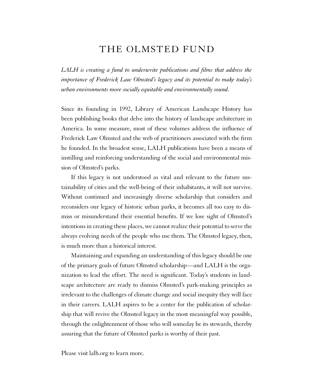### THE OLMSTED FUND

*LALH is creating a fund to underwrite publications and films that address the importance of Frederick Law Olmsted's legacy and its potential to make today's urban environments more socially equitable and environmentally sound.* 

Since its founding in 1992, Library of American Landscape History has been publishing books that delve into the history of landscape architecture in America. In some measure, most of these volumes address the influence of Frederick Law Olmsted and the web of practitioners associated with the firm he founded. In the broadest sense, LALH publications have been a means of instilling and reinforcing understanding of the social and environmental mission of Olmsted's parks.

If this legacy is not understood as vital and relevant to the future sustainability of cities and the well-being of their inhabitants, it will not survive. Without continued and increasingly diverse scholarship that considers and reconsiders our legacy of historic urban parks, it becomes all too easy to dismiss or misunderstand their essential benefits. If we lose sight of Olmsted's intentions in creating these places, we cannot realize their potential to serve the always evolving needs of the people who use them. The Olmsted legacy, then, is much more than a historical interest.

Maintaining and expanding an understanding of this legacy should be one of the primary goals of future Olmsted scholarship—and LALH is the organization to lead the effort. The need is significant. Today's students in landscape architecture are ready to dismiss Olmsted's park-making principles as irrelevant to the challenges of climate change and social inequity they will face in their careers. LALH aspires to be a center for the publication of scholarship that will revive the Olmsted legacy in the most meaningful way possible, through the enlightenment of those who will someday be its stewards, thereby assuring that the future of Olmsted parks is worthy of their past.

Please visit lalh.org to learn more.